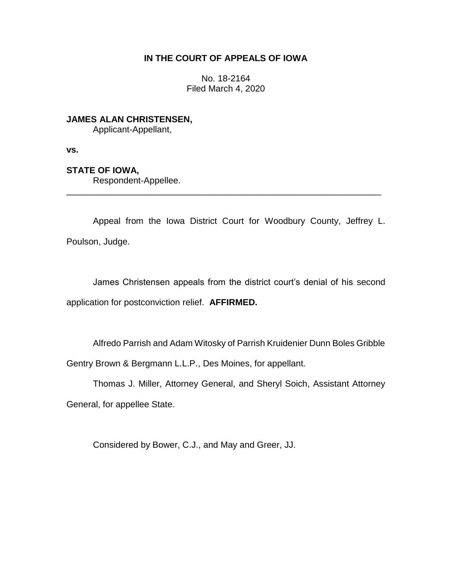# **IN THE COURT OF APPEALS OF IOWA**

No. 18-2164 Filed March 4, 2020

**JAMES ALAN CHRISTENSEN,** Applicant-Appellant,

**vs.**

## **STATE OF IOWA,**

Respondent-Appellee.

Appeal from the Iowa District Court for Woodbury County, Jeffrey L. Poulson, Judge.

\_\_\_\_\_\_\_\_\_\_\_\_\_\_\_\_\_\_\_\_\_\_\_\_\_\_\_\_\_\_\_\_\_\_\_\_\_\_\_\_\_\_\_\_\_\_\_\_\_\_\_\_\_\_\_\_\_\_\_\_\_\_\_\_

James Christensen appeals from the district court's denial of his second application for postconviction relief. **AFFIRMED.**

Alfredo Parrish and Adam Witosky of Parrish Kruidenier Dunn Boles Gribble

Gentry Brown & Bergmann L.L.P., Des Moines, for appellant.

Thomas J. Miller, Attorney General, and Sheryl Soich, Assistant Attorney General, for appellee State.

Considered by Bower, C.J., and May and Greer, JJ.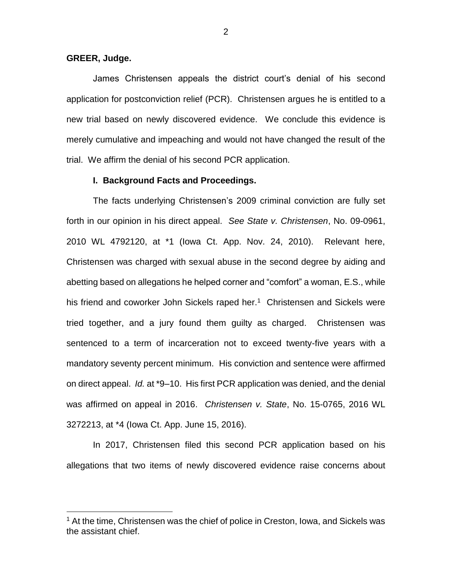## **GREER, Judge.**

 $\overline{a}$ 

James Christensen appeals the district court's denial of his second application for postconviction relief (PCR). Christensen argues he is entitled to a new trial based on newly discovered evidence. We conclude this evidence is merely cumulative and impeaching and would not have changed the result of the trial. We affirm the denial of his second PCR application.

### **I. Background Facts and Proceedings.**

The facts underlying Christensen's 2009 criminal conviction are fully set forth in our opinion in his direct appeal. *See State v. Christensen*, No. 09-0961, 2010 WL 4792120, at \*1 (Iowa Ct. App. Nov. 24, 2010). Relevant here, Christensen was charged with sexual abuse in the second degree by aiding and abetting based on allegations he helped corner and "comfort" a woman, E.S., while his friend and coworker John Sickels raped her.<sup>1</sup> Christensen and Sickels were tried together, and a jury found them guilty as charged. Christensen was sentenced to a term of incarceration not to exceed twenty-five years with a mandatory seventy percent minimum. His conviction and sentence were affirmed on direct appeal. *Id.* at \*9–10. His first PCR application was denied, and the denial was affirmed on appeal in 2016. *Christensen v. State*, No. 15-0765, 2016 WL 3272213, at \*4 (Iowa Ct. App. June 15, 2016).

In 2017, Christensen filed this second PCR application based on his allegations that two items of newly discovered evidence raise concerns about

<sup>&</sup>lt;sup>1</sup> At the time, Christensen was the chief of police in Creston, Iowa, and Sickels was the assistant chief.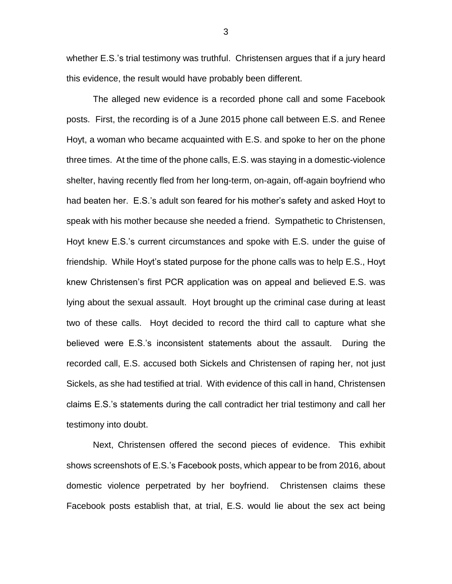whether E.S.'s trial testimony was truthful. Christensen argues that if a jury heard this evidence, the result would have probably been different.

The alleged new evidence is a recorded phone call and some Facebook posts. First, the recording is of a June 2015 phone call between E.S. and Renee Hoyt, a woman who became acquainted with E.S. and spoke to her on the phone three times. At the time of the phone calls, E.S. was staying in a domestic-violence shelter, having recently fled from her long-term, on-again, off-again boyfriend who had beaten her. E.S.'s adult son feared for his mother's safety and asked Hoyt to speak with his mother because she needed a friend. Sympathetic to Christensen, Hoyt knew E.S.'s current circumstances and spoke with E.S. under the guise of friendship. While Hoyt's stated purpose for the phone calls was to help E.S., Hoyt knew Christensen's first PCR application was on appeal and believed E.S. was lying about the sexual assault. Hoyt brought up the criminal case during at least two of these calls. Hoyt decided to record the third call to capture what she believed were E.S.'s inconsistent statements about the assault. During the recorded call, E.S. accused both Sickels and Christensen of raping her, not just Sickels, as she had testified at trial. With evidence of this call in hand, Christensen claims E.S.'s statements during the call contradict her trial testimony and call her testimony into doubt.

Next, Christensen offered the second pieces of evidence. This exhibit shows screenshots of E.S.'s Facebook posts, which appear to be from 2016, about domestic violence perpetrated by her boyfriend. Christensen claims these Facebook posts establish that, at trial, E.S. would lie about the sex act being

3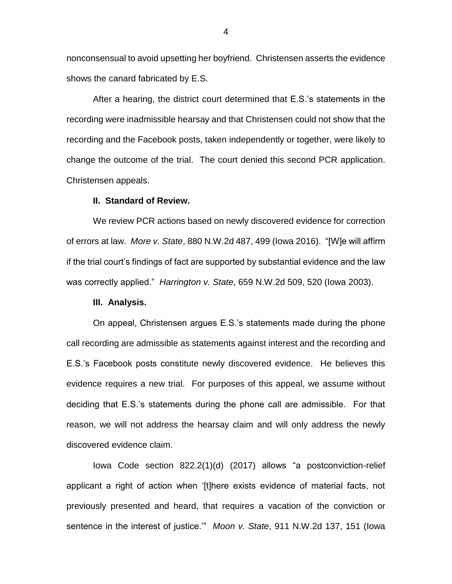nonconsensual to avoid upsetting her boyfriend. Christensen asserts the evidence shows the canard fabricated by E.S.

After a hearing, the district court determined that E.S.'s statements in the recording were inadmissible hearsay and that Christensen could not show that the recording and the Facebook posts, taken independently or together, were likely to change the outcome of the trial. The court denied this second PCR application. Christensen appeals.

#### **II. Standard of Review.**

We review PCR actions based on newly discovered evidence for correction of errors at law. *More v. State*, 880 N.W.2d 487, 499 (Iowa 2016). "[W]e will affirm if the trial court's findings of fact are supported by substantial evidence and the law was correctly applied." *Harrington v. State*, 659 N.W.2d 509, 520 (Iowa 2003).

#### **III. Analysis.**

On appeal, Christensen argues E.S.'s statements made during the phone call recording are admissible as statements against interest and the recording and E.S.'s Facebook posts constitute newly discovered evidence. He believes this evidence requires a new trial. For purposes of this appeal, we assume without deciding that E.S.'s statements during the phone call are admissible. For that reason, we will not address the hearsay claim and will only address the newly discovered evidence claim.

Iowa Code section 822.2(1)(d) (2017) allows "a postconviction-relief applicant a right of action when '[t]here exists evidence of material facts, not previously presented and heard, that requires a vacation of the conviction or sentence in the interest of justice.'" *Moon v. State*, 911 N.W.2d 137, 151 (Iowa

4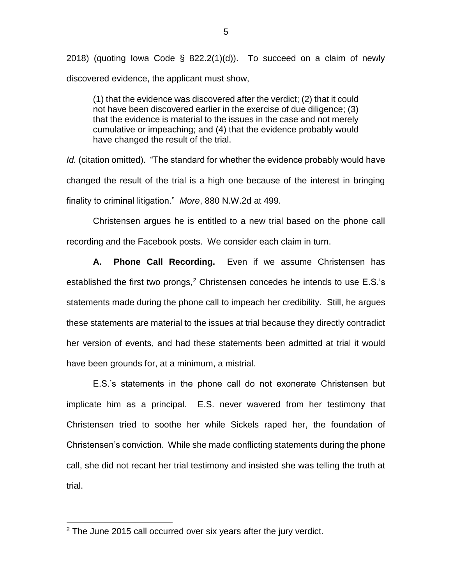2018) (quoting Iowa Code § 822.2(1)(d)). To succeed on a claim of newly discovered evidence, the applicant must show,

(1) that the evidence was discovered after the verdict; (2) that it could not have been discovered earlier in the exercise of due diligence; (3) that the evidence is material to the issues in the case and not merely cumulative or impeaching; and (4) that the evidence probably would have changed the result of the trial.

*Id.* (citation omitted). "The standard for whether the evidence probably would have changed the result of the trial is a high one because of the interest in bringing finality to criminal litigation." *More*, 880 N.W.2d at 499.

Christensen argues he is entitled to a new trial based on the phone call recording and the Facebook posts. We consider each claim in turn.

**A. Phone Call Recording.** Even if we assume Christensen has established the first two prongs,<sup>2</sup> Christensen concedes he intends to use E.S.'s statements made during the phone call to impeach her credibility. Still, he argues these statements are material to the issues at trial because they directly contradict her version of events, and had these statements been admitted at trial it would have been grounds for, at a minimum, a mistrial.

E.S.'s statements in the phone call do not exonerate Christensen but implicate him as a principal. E.S. never wavered from her testimony that Christensen tried to soothe her while Sickels raped her, the foundation of Christensen's conviction. While she made conflicting statements during the phone call, she did not recant her trial testimony and insisted she was telling the truth at trial.

 $\overline{a}$ 

 $2$  The June 2015 call occurred over six years after the jury verdict.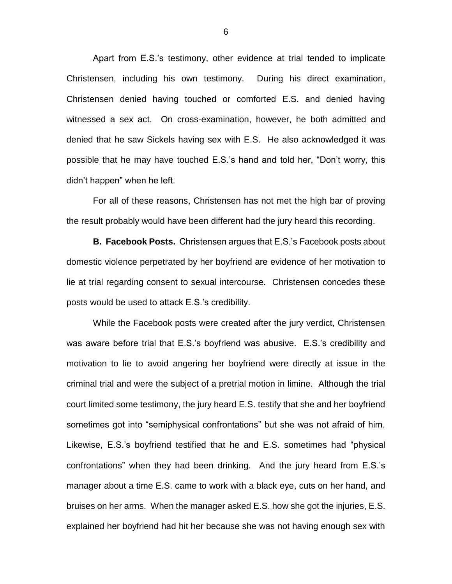Apart from E.S.'s testimony, other evidence at trial tended to implicate Christensen, including his own testimony. During his direct examination, Christensen denied having touched or comforted E.S. and denied having witnessed a sex act. On cross-examination, however, he both admitted and denied that he saw Sickels having sex with E.S. He also acknowledged it was possible that he may have touched E.S.'s hand and told her, "Don't worry, this didn't happen" when he left.

For all of these reasons, Christensen has not met the high bar of proving the result probably would have been different had the jury heard this recording.

**B. Facebook Posts.** Christensen argues that E.S.'s Facebook posts about domestic violence perpetrated by her boyfriend are evidence of her motivation to lie at trial regarding consent to sexual intercourse. Christensen concedes these posts would be used to attack E.S.'s credibility.

While the Facebook posts were created after the jury verdict, Christensen was aware before trial that E.S.'s boyfriend was abusive. E.S.'s credibility and motivation to lie to avoid angering her boyfriend were directly at issue in the criminal trial and were the subject of a pretrial motion in limine. Although the trial court limited some testimony, the jury heard E.S. testify that she and her boyfriend sometimes got into "semiphysical confrontations" but she was not afraid of him. Likewise, E.S.'s boyfriend testified that he and E.S. sometimes had "physical confrontations" when they had been drinking. And the jury heard from E.S.'s manager about a time E.S. came to work with a black eye, cuts on her hand, and bruises on her arms. When the manager asked E.S. how she got the injuries, E.S. explained her boyfriend had hit her because she was not having enough sex with